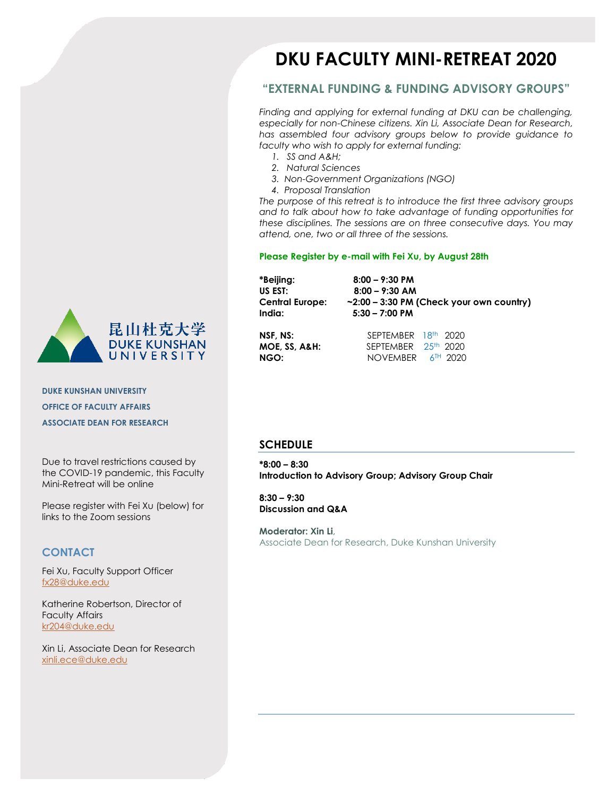

**DUKE KUNSHAN UNIVERSITY OFFICE OF FACULTY AFFAIRS ASSOCIATE DEAN FOR RESEARCH**

Due to travel restrictions caused by the COVID-19 pandemic, this Faculty Mini-Retreat will be online

Please register with Fei Xu (below) for links to the Zoom sessions

### **CONTACT**

Fei Xu, Faculty Support Officer [fx28@duke.edu](mailto:fx28@duke.edu)

Katherine Robertson, Director of Faculty Affairs [kr204@duke.edu](mailto:kr204@duke.edu)

Xin Li, Associate Dean for Research xinli.ece@duke.edu

# **DKU FACULTY MINI-RETREAT 2020**

### **"EXTERNAL FUNDING & FUNDING ADVISORY GROUPS"**

*Finding and applying for external funding at DKU can be challenging, especially for non-Chinese citizens. Xin Li, Associate Dean for Research, has assembled four advisory groups below to provide guidance to faculty who wish to apply for external funding:* 

- *1. SS and A&H;*
- *2. Natural Sciences*
- *3. Non-Government Organizations (NGO)*
- *4. Proposal Translation*

*The purpose of this retreat is to introduce the first three advisory groups and to talk about how to take advantage of funding opportunities for these disciplines. The sessions are on three consecutive days. You may attend, one, two or all three of the sessions.* 

#### **Please Register by e-mail with Fei Xu, by August 28th**

**NGO:** NOVEMBER 6<sup>TH</sup> 2020

| *Beijing:<br>US EST:<br>Central Europe:<br>India: | $8:00 - 9:30$ PM<br>$8:00 - 9:30$ AM<br>$\sim$ 2:00 – 3:30 PM (Check your own country)<br>$5:30 - 7:00$ PM |  |
|---------------------------------------------------|------------------------------------------------------------------------------------------------------------|--|
| NSF. NS:                                          | SEPTEMBER 18th 2020                                                                                        |  |
| MOE, SS, A&H:                                     | SEPTEMBER 25th 2020                                                                                        |  |

#### **SCHEDULE**

**\*8:00 – 8:30 Introduction to Advisory Group; Advisory Group Chair**

**8:30 – 9:30 Discussion and Q&A**

**Moderator: Xin Li**, Associate Dean for Research, Duke Kunshan University